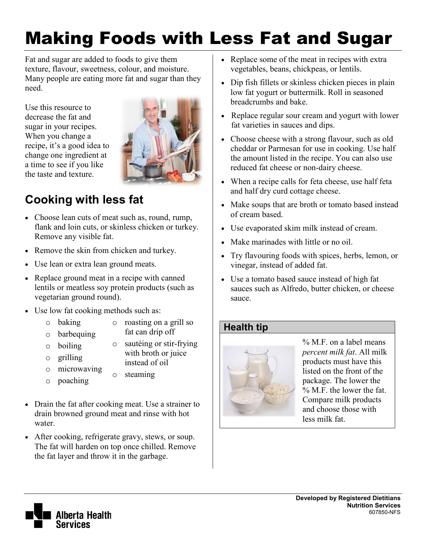# Making Foods with Less Fat and Sugar

Fat and sugar are added to foods to give them texture, flavour, sweetness, colour, and moisture. Many people are eating more fat and sugar than they need.

Use this resource to decrease the fat and sugar in your recipes. When you change a recipe, it's a good idea to change one ingredient at a time to see if you like the taste and texture.



## **Cooking with less fat**

- Choose lean cuts of meat such as, round, rump, flank and loin cuts, or skinless chicken or turkey. Remove any visible fat.
- Remove the skin from chicken and turkey.
- Use lean or extra lean ground meats.
- Replace ground meat in a recipe with canned lentils or meatless soy protein products (such as vegetarian ground round).
- Use low fat cooking methods such as:
	- o baking
- o roasting on a grill so
- o barbequing
- fat can drip off o sautéing or stir-frying
- o boiling o grilling
- with broth or juice instead of oil

o steaming

- o microwaving
- o poaching
- Drain the fat after cooking meat. Use a strainer to drain browned ground meat and rinse with hot water.
- After cooking, refrigerate gravy, stews, or soup. The fat will harden on top once chilled. Remove the fat layer and throw it in the garbage.
- Replace some of the meat in recipes with extra vegetables, beans, chickpeas, or lentils.
- Dip fish fillets or skinless chicken pieces in plain low fat yogurt or buttermilk. Roll in seasoned breadcrumbs and bake.
- Replace regular sour cream and yogurt with lower fat varieties in sauces and dips.
- Choose cheese with a strong flavour, such as old cheddar or Parmesan for use in cooking. Use half the amount listed in the recipe. You can also use reduced fat cheese or non-dairy cheese.
- When a recipe calls for feta cheese, use half feta and half dry curd cottage cheese.
- Make soups that are broth or tomato based instead of cream based.
- Use evaporated skim milk instead of cream.
- Make marinades with little or no oil.
- Try flavouring foods with spices, herbs, lemon, or vinegar, instead of added fat.
- Use a tomato based sauce instead of high fat sauces such as Alfredo, butter chicken, or cheese sauce.

#### **Health tip**



% M.F. on a label means *percent milk fat*. All milk products must have this listed on the front of the package. The lower the % M.F. the lower the fat. Compare milk products and choose those with less milk fat.

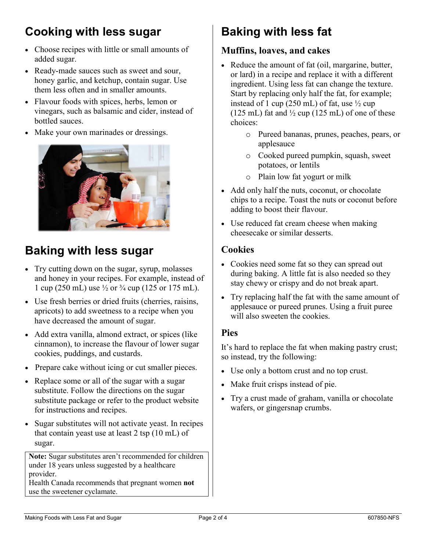# **Cooking with less sugar**

- Choose recipes with little or small amounts of added sugar.
- Ready-made sauces such as sweet and sour, honey garlic, and ketchup, contain sugar. Use them less often and in smaller amounts.
- Flavour foods with spices, herbs, lemon or vinegars, such as balsamic and cider, instead of bottled sauces.
- Make your own marinades or dressings.



### **Baking with less sugar**

- Try cutting down on the sugar, syrup, molasses and honey in your recipes. For example, instead of 1 cup (250 mL) use  $\frac{1}{2}$  or  $\frac{3}{4}$  cup (125 or 175 mL).
- Use fresh berries or dried fruits (cherries, raisins, apricots) to add sweetness to a recipe when you have decreased the amount of sugar.
- Add extra vanilla, almond extract, or spices (like cinnamon), to increase the flavour of lower sugar cookies, puddings, and custards.
- Prepare cake without icing or cut smaller pieces.
- Replace some or all of the sugar with a sugar substitute. Follow the directions on the sugar substitute package or refer to the product website for instructions and recipes.
- Sugar substitutes will not activate yeast. In recipes that contain yeast use at least 2 tsp (10 mL) of sugar.

**Note:** Sugar substitutes aren't recommended for children under 18 years unless suggested by a healthcare provider.

Health Canada recommends that pregnant women **not** use the sweetener cyclamate.

# **Baking with less fat**

#### **Muffins, loaves, and cakes**

- Reduce the amount of fat (oil, margarine, butter, or lard) in a recipe and replace it with a different ingredient. Using less fat can change the texture. Start by replacing only half the fat, for example; instead of 1 cup (250 mL) of fat, use  $\frac{1}{2}$  cup (125 mL) fat and  $\frac{1}{2}$  cup (125 mL) of one of these choices:
	- o Pureed bananas, prunes, peaches, pears, or applesauce
	- o Cooked pureed pumpkin, squash, sweet potatoes, or lentils
	- o Plain low fat yogurt or milk
- Add only half the nuts, coconut, or chocolate chips to a recipe. Toast the nuts or coconut before adding to boost their flavour.
- Use reduced fat cream cheese when making cheesecake or similar desserts.

#### **Cookies**

- Cookies need some fat so they can spread out during baking. A little fat is also needed so they stay chewy or crispy and do not break apart.
- Try replacing half the fat with the same amount of applesauce or pureed prunes. Using a fruit puree will also sweeten the cookies.

#### **Pies**

It's hard to replace the fat when making pastry crust; so instead, try the following:

- Use only a bottom crust and no top crust.
- Make fruit crisps instead of pie.
- Try a crust made of graham, vanilla or chocolate wafers, or gingersnap crumbs.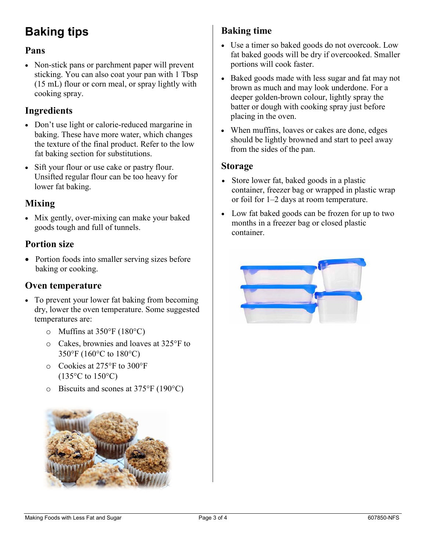# **Baking tips**

#### **Pans**

• Non-stick pans or parchment paper will prevent sticking. You can also coat your pan with 1 Tbsp (15 mL) flour or corn meal, or spray lightly with cooking spray.

#### **Ingredients**

- Don't use light or calorie-reduced margarine in baking. These have more water, which changes the texture of the final product. Refer to the low fat baking section for substitutions.
- Sift your flour or use cake or pastry flour. Unsifted regular flour can be too heavy for lower fat baking.

#### **Mixing**

• Mix gently, over-mixing can make your baked goods tough and full of tunnels.

#### **Portion size**

• Portion foods into smaller serving sizes before baking or cooking.

#### **Oven temperature**

- To prevent your lower fat baking from becoming dry, lower the oven temperature. Some suggested temperatures are:
	- $\circ$  Muffins at 350°F (180°C)
	- o Cakes, brownies and loaves at 325°F to 350°F (160°C to 180°C)
	- o Cookies at 275°F to 300°F  $(135\textdegree C \text{ to } 150\textdegree C)$
	- o Biscuits and scones at 375°F (190°C)



#### **Baking time**

- Use a timer so baked goods do not overcook. Low fat baked goods will be dry if overcooked. Smaller portions will cook faster.
- Baked goods made with less sugar and fat may not brown as much and may look underdone. For a deeper golden-brown colour, lightly spray the batter or dough with cooking spray just before placing in the oven.
- When muffins, loaves or cakes are done, edges should be lightly browned and start to peel away from the sides of the pan.

#### **Storage**

- Store lower fat, baked goods in a plastic container, freezer bag or wrapped in plastic wrap or foil for 1–2 days at room temperature.
- Low fat baked goods can be frozen for up to two months in a freezer bag or closed plastic container.